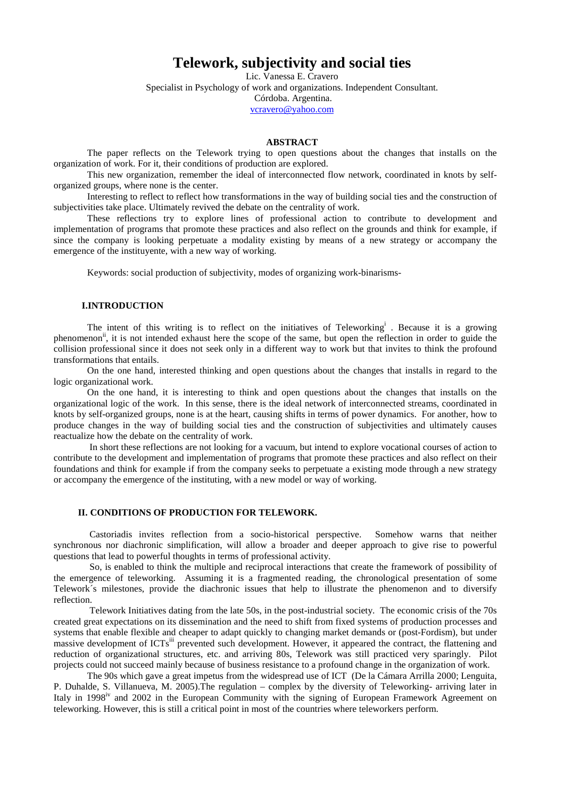# **Telework, subjectivity and social ties**

Lic. Vanessa E. Cravero Specialist in Psychology of work and organizations. Independent Consultant. Córdoba. Argentina. vcravero@yahoo.com

#### **ABSTRACT**

The paper reflects on the Telework trying to open questions about the changes that installs on the organization of work. For it, their conditions of production are explored.

This new organization, remember the ideal of interconnected flow network, coordinated in knots by selforganized groups, where none is the center.

Interesting to reflect to reflect how transformations in the way of building social ties and the construction of subjectivities take place. Ultimately revived the debate on the centrality of work.

These reflections try to explore lines of professional action to contribute to development and implementation of programs that promote these practices and also reflect on the grounds and think for example, if since the company is looking perpetuate a modality existing by means of a new strategy or accompany the emergence of the instituyente, with a new way of working.

Keywords: social production of subjectivity, modes of organizing work-binarisms-

## **I.INTRODUCTION**

The intent of this writing is to reflect on the initiatives of Teleworking<sup>i</sup>. Because it is a growing phenomenon<sup>ii</sup>, it is not intended exhaust here the scope of the same, but open the reflection in order to guide the collision professional since it does not seek only in a different way to work but that invites to think the profound transformations that entails.

On the one hand, interested thinking and open questions about the changes that installs in regard to the logic organizational work.

On the one hand, it is interesting to think and open questions about the changes that installs on the organizational logic of the work. In this sense, there is the ideal network of interconnected streams, coordinated in knots by self-organized groups, none is at the heart, causing shifts in terms of power dynamics. For another, how to produce changes in the way of building social ties and the construction of subjectivities and ultimately causes reactualize how the debate on the centrality of work.

 In short these reflections are not looking for a vacuum, but intend to explore vocational courses of action to contribute to the development and implementation of programs that promote these practices and also reflect on their foundations and think for example if from the company seeks to perpetuate a existing mode through a new strategy or accompany the emergence of the instituting, with a new model or way of working.

# **II. CONDITIONS OF PRODUCTION FOR TELEWORK.**

 Castoriadis invites reflection from a socio-historical perspective. Somehow warns that neither synchronous nor diachronic simplification, will allow a broader and deeper approach to give rise to powerful questions that lead to powerful thoughts in terms of professional activity.

 So, is enabled to think the multiple and reciprocal interactions that create the framework of possibility of the emergence of teleworking. Assuming it is a fragmented reading, the chronological presentation of some Telework´s milestones, provide the diachronic issues that help to illustrate the phenomenon and to diversify reflection.

 Telework Initiatives dating from the late 50s, in the post-industrial society. The economic crisis of the 70s created great expectations on its dissemination and the need to shift from fixed systems of production processes and systems that enable flexible and cheaper to adapt quickly to changing market demands or (post-Fordism), but under massive development of ICTs<sup>iii</sup> prevented such development. However, it appeared the contract, the flattening and reduction of organizational structures, etc. and arriving 80s, Telework was still practiced very sparingly. Pilot projects could not succeed mainly because of business resistance to a profound change in the organization of work.

The 90s which gave a great impetus from the widespread use of ICT (De la Cámara Arrilla 2000; Lenguita, P. Duhalde, S. Villanueva, M. 2005).The regulation – complex by the diversity of Teleworking- arriving later in Italy in 1998<sup>iv</sup> and 2002 in the European Community with the signing of European Framework Agreement on teleworking. However, this is still a critical point in most of the countries where teleworkers perform.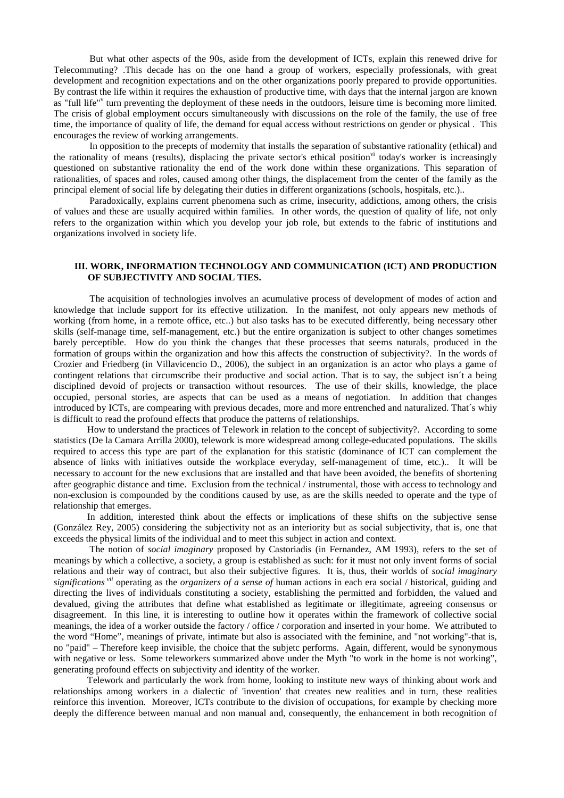But what other aspects of the 90s, aside from the development of ICTs, explain this renewed drive for Telecommuting? .This decade has on the one hand a group of workers, especially professionals, with great development and recognition expectations and on the other organizations poorly prepared to provide opportunities. By contrast the life within it requires the exhaustion of productive time, with days that the internal jargon are known as "full life"<sup>v</sup> turn preventing the deployment of these needs in the outdoors, leisure time is becoming more limited. The crisis of global employment occurs simultaneously with discussions on the role of the family, the use of free time, the importance of quality of life, the demand for equal access without restrictions on gender or physical . This encourages the review of working arrangements.

 In opposition to the precepts of modernity that installs the separation of substantive rationality (ethical) and the rationality of means (results), displacing the private sector's ethical position<sup>vi</sup> today's worker is increasingly questioned on substantive rationality the end of the work done within these organizations. This separation of rationalities, of spaces and roles, caused among other things, the displacement from the center of the family as the principal element of social life by delegating their duties in different organizations (schools, hospitals, etc.)..

 Paradoxically, explains current phenomena such as crime, insecurity, addictions, among others, the crisis of values and these are usually acquired within families. In other words, the question of quality of life, not only refers to the organization within which you develop your job role, but extends to the fabric of institutions and organizations involved in society life.

## **III. WORK, INFORMATION TECHNOLOGY AND COMMUNICATION (ICT) AND PRODUCTION OF SUBJECTIVITY AND SOCIAL TIES.**

 The acquisition of technologies involves an acumulative process of development of modes of action and knowledge that include support for its effective utilization. In the manifest, not only appears new methods of working (from home, in a remote office, etc..) but also tasks has to be executed differently, being necessary other skills (self-manage time, self-management, etc.) but the entire organization is subject to other changes sometimes barely perceptible. How do you think the changes that these processes that seems naturals, produced in the formation of groups within the organization and how this affects the construction of subjectivity?. In the words of Crozier and Friedberg (in Villavicencio D., 2006), the subject in an organization is an actor who plays a game of contingent relations that circumscribe their productive and social action. That is to say, the subject isn´t a being disciplined devoid of projects or transaction without resources. The use of their skills, knowledge, the place occupied, personal stories, are aspects that can be used as a means of negotiation. In addition that changes introduced by ICTs, are compearing with previous decades, more and more entrenched and naturalized. That´s whiy is difficult to read the profound effects that produce the patterns of relationships.

How to understand the practices of Telework in relation to the concept of subjectivity?. According to some statistics (De la Camara Arrilla 2000), telework is more widespread among college-educated populations. The skills required to access this type are part of the explanation for this statistic (dominance of ICT can complement the absence of links with initiatives outside the workplace everyday, self-management of time, etc.).. It will be necessary to account for the new exclusions that are installed and that have been avoided, the benefits of shortening after geographic distance and time. Exclusion from the technical / instrumental, those with access to technology and non-exclusion is compounded by the conditions caused by use, as are the skills needed to operate and the type of relationship that emerges.

In addition, interested think about the effects or implications of these shifts on the subjective sense (González Rey, 2005) considering the subjectivity not as an interiority but as social subjectivity, that is, one that exceeds the physical limits of the individual and to meet this subject in action and context.

 The notion of *social imaginary* proposed by Castoriadis (in Fernandez, AM 1993), refers to the set of meanings by which a collective, a society, a group is established as such: for it must not only invent forms of social relations and their way of contract, but also their subjective figures. It is, thus, their worlds of *social imaginary significations vii* operating as the *organizers of a sense of* human actions in each era social / historical, guiding and directing the lives of individuals constituting a society, establishing the permitted and forbidden, the valued and devalued, giving the attributes that define what established as legitimate or illegitimate, agreeing consensus or disagreement. In this line, it is interesting to outline how it operates within the framework of collective social meanings, the idea of a worker outside the factory / office / corporation and inserted in your home. We attributed to the word "Home", meanings of private, intimate but also is associated with the feminine, and "not working"-that is, no "paid" – Therefore keep invisible, the choice that the subjetc performs. Again, different, would be synonymous with negative or less. Some teleworkers summarized above under the Myth "to work in the home is not working", generating profound effects on subjectivity and identity of the worker.

Telework and particularly the work from home, looking to institute new ways of thinking about work and relationships among workers in a dialectic of 'invention' that creates new realities and in turn, these realities reinforce this invention. Moreover, ICTs contribute to the division of occupations, for example by checking more deeply the difference between manual and non manual and, consequently, the enhancement in both recognition of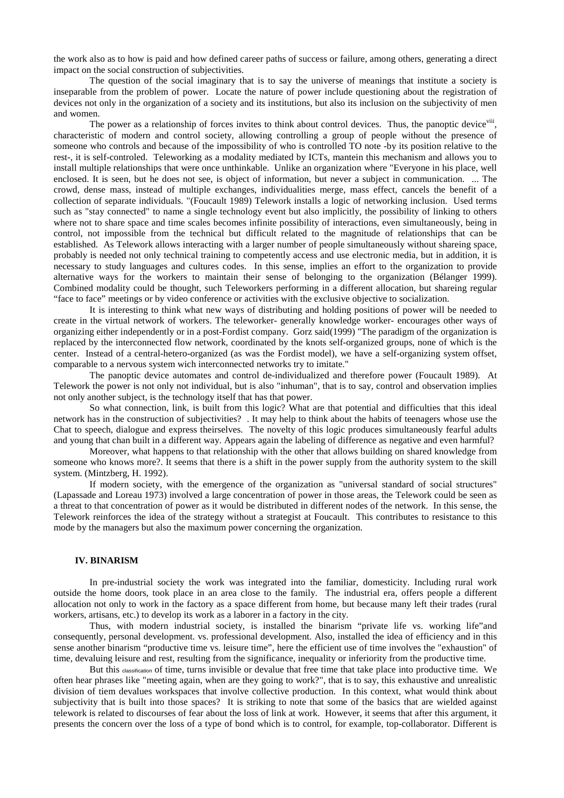the work also as to how is paid and how defined career paths of success or failure, among others, generating a direct impact on the social construction of subjectivities.

 The question of the social imaginary that is to say the universe of meanings that institute a society is inseparable from the problem of power. Locate the nature of power include questioning about the registration of devices not only in the organization of a society and its institutions, but also its inclusion on the subjectivity of men and women.

The power as a relationship of forces invites to think about control devices. Thus, the panoptic device<sup>viii</sup>, characteristic of modern and control society, allowing controlling a group of people without the presence of someone who controls and because of the impossibility of who is controlled TO note -by its position relative to the rest-, it is self-controled. Teleworking as a modality mediated by ICTs, mantein this mechanism and allows you to install multiple relationships that were once unthinkable. Unlike an organization where "Everyone in his place, well enclosed. It is seen, but he does not see, is object of information, but never a subject in communication. ... The crowd, dense mass, instead of multiple exchanges, individualities merge, mass effect, cancels the benefit of a collection of separate individuals. "(Foucault 1989) Telework installs a logic of networking inclusion. Used terms such as "stay connected" to name a single technology event but also implicitly, the possibility of linking to others where not to share space and time scales becomes infinite possibility of interactions, even simultaneously, being in control, not impossible from the technical but difficult related to the magnitude of relationships that can be established. As Telework allows interacting with a larger number of people simultaneously without shareing space, probably is needed not only technical training to competently access and use electronic media, but in addition, it is necessary to study languages and cultures codes. In this sense, implies an effort to the organization to provide alternative ways for the workers to maintain their sense of belonging to the organization (Bélanger 1999). Combined modality could be thought, such Teleworkers performing in a different allocation, but shareing regular "face to face" meetings or by video conference or activities with the exclusive objective to socialization.

 It is interesting to think what new ways of distributing and holding positions of power will be needed to create in the virtual network of workers. The teleworker- generally knowledge worker- encourages other ways of organizing either independently or in a post-Fordist company. Gorz said(1999) "The paradigm of the organization is replaced by the interconnected flow network, coordinated by the knots self-organized groups, none of which is the center. Instead of a central-hetero-organized (as was the Fordist model), we have a self-organizing system offset, comparable to a nervous system wich interconnected networks try to imitate."

 The panoptic device automates and control de-individualized and therefore power (Foucault 1989). At Telework the power is not only not individual, but is also "inhuman", that is to say, control and observation implies not only another subject, is the technology itself that has that power.

 So what connection, link, is built from this logic? What are that potential and difficulties that this ideal network has in the construction of subjectivities? . It may help to think about the habits of teenagers whose use the Chat to speech, dialogue and express theirselves. The novelty of this logic produces simultaneously fearful adults and young that chan built in a different way. Appears again the labeling of difference as negative and even harmful?

 Moreover, what happens to that relationship with the other that allows building on shared knowledge from someone who knows more?. It seems that there is a shift in the power supply from the authority system to the skill system. (Mintzberg, H. 1992).

 If modern society, with the emergence of the organization as "universal standard of social structures" (Lapassade and Loreau 1973) involved a large concentration of power in those areas, the Telework could be seen as a threat to that concentration of power as it would be distributed in different nodes of the network. In this sense, the Telework reinforces the idea of the strategy without a strategist at Foucault. This contributes to resistance to this mode by the managers but also the maximum power concerning the organization.

#### **IV. BINARISM**

 In pre-industrial society the work was integrated into the familiar, domesticity. Including rural work outside the home doors, took place in an area close to the family. The industrial era, offers people a different allocation not only to work in the factory as a space different from home, but because many left their trades (rural workers, artisans, etc.) to develop its work as a laborer in a factory in the city.

 Thus, with modern industrial society, is installed the binarism "private life vs. working life"and consequently, personal development. vs. professional development. Also, installed the idea of efficiency and in this sense another binarism "productive time vs. leisure time", here the efficient use of time involves the "exhaustion" of time, devaluing leisure and rest, resulting from the significance, inequality or inferiority from the productive time.

But this classification of time, turns invisible or devalue that free time that take place into productive time. We often hear phrases like "meeting again, when are they going to work?", that is to say, this exhaustive and unrealistic division of tiem devalues workspaces that involve collective production. In this context, what would think about subjectivity that is built into those spaces? It is striking to note that some of the basics that are wielded against telework is related to discourses of fear about the loss of link at work. However, it seems that after this argument, it presents the concern over the loss of a type of bond which is to control, for example, top-collaborator. Different is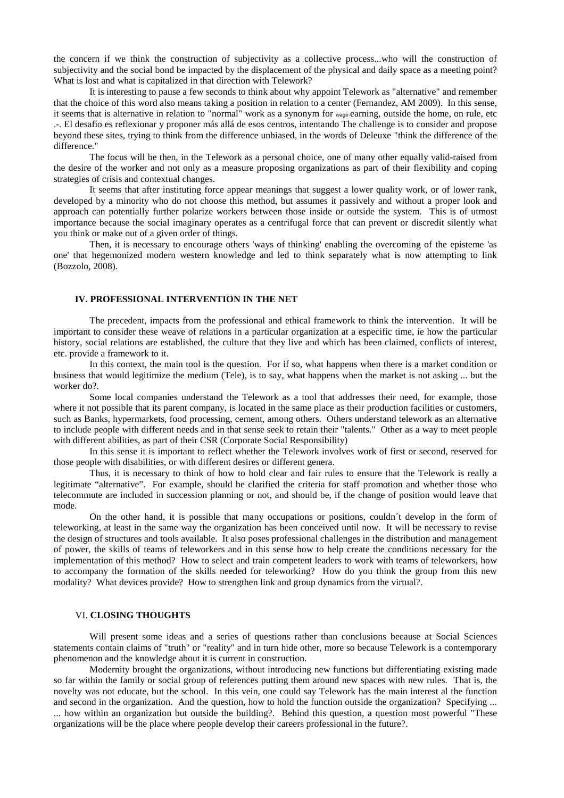the concern if we think the construction of subjectivity as a collective process...who will the construction of subjectivity and the social bond be impacted by the displacement of the physical and daily space as a meeting point? What is lost and what is capitalized in that direction with Telework?

 It is interesting to pause a few seconds to think about why appoint Telework as "alternative" and remember that the choice of this word also means taking a position in relation to a center (Fernandez, AM 2009). In this sense, it seems that is alternative in relation to "normal" work as a synonym for wage-earning, outside the home, on rule, etc .-. El desafío es reflexionar y proponer más allá de esos centros, intentando The challenge is to consider and propose beyond these sites, trying to think from the difference unbiased, in the words of Deleuxe "think the difference of the difference."

 The focus will be then, in the Telework as a personal choice, one of many other equally valid-raised from the desire of the worker and not only as a measure proposing organizations as part of their flexibility and coping strategies of crisis and contextual changes.

 It seems that after instituting force appear meanings that suggest a lower quality work, or of lower rank, developed by a minority who do not choose this method, but assumes it passively and without a proper look and approach can potentially further polarize workers between those inside or outside the system. This is of utmost importance because the social imaginary operates as a centrifugal force that can prevent or discredit silently what you think or make out of a given order of things.

 Then, it is necessary to encourage others 'ways of thinking' enabling the overcoming of the episteme 'as one' that hegemonized modern western knowledge and led to think separately what is now attempting to link (Bozzolo, 2008).

# **IV. PROFESSIONAL INTERVENTION IN THE NET**

 The precedent, impacts from the professional and ethical framework to think the intervention. It will be important to consider these weave of relations in a particular organization at a especific time, ie how the particular history, social relations are established, the culture that they live and which has been claimed, conflicts of interest, etc. provide a framework to it.

 In this context, the main tool is the question. For if so, what happens when there is a market condition or business that would legitimize the medium (Tele), is to say, what happens when the market is not asking ... but the worker do?.

 Some local companies understand the Telework as a tool that addresses their need, for example, those where it not possible that its parent company, is located in the same place as their production facilities or customers, such as Banks, hypermarkets, food processing, cement, among others. Others understand telework as an alternative to include people with different needs and in that sense seek to retain their "talents." Other as a way to meet people with different abilities, as part of their CSR (Corporate Social Responsibility)

 In this sense it is important to reflect whether the Telework involves work of first or second, reserved for those people with disabilities, or with different desires or different genera.

 Thus, it is necessary to think of how to hold clear and fair rules to ensure that the Telework is really a legitimate "alternative". For example, should be clarified the criteria for staff promotion and whether those who telecommute are included in succession planning or not, and should be, if the change of position would leave that mode.

 On the other hand, it is possible that many occupations or positions, couldn´t develop in the form of teleworking, at least in the same way the organization has been conceived until now. It will be necessary to revise the design of structures and tools available. It also poses professional challenges in the distribution and management of power, the skills of teams of teleworkers and in this sense how to help create the conditions necessary for the implementation of this method? How to select and train competent leaders to work with teams of teleworkers, how to accompany the formation of the skills needed for teleworking? How do you think the group from this new modality? What devices provide? How to strengthen link and group dynamics from the virtual?.

### VI. **CLOSING THOUGHTS**

 Will present some ideas and a series of questions rather than conclusions because at Social Sciences statements contain claims of "truth" or "reality" and in turn hide other, more so because Telework is a contemporary phenomenon and the knowledge about it is current in construction.

 Modernity brought the organizations, without introducing new functions but differentiating existing made so far within the family or social group of references putting them around new spaces with new rules. That is, the novelty was not educate, but the school. In this vein, one could say Telework has the main interest al the function and second in the organization. And the question, how to hold the function outside the organization? Specifying ... ... how within an organization but outside the building?. Behind this question, a question most powerful "These organizations will be the place where people develop their careers professional in the future?.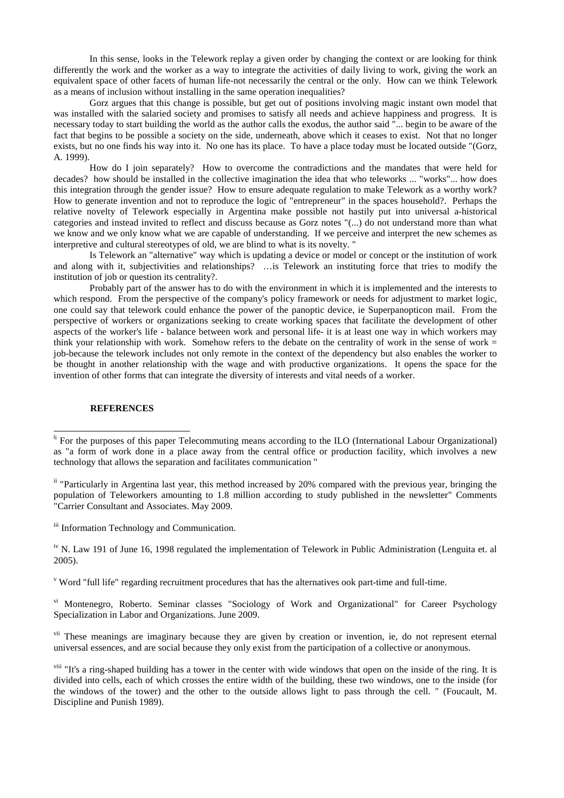In this sense, looks in the Telework replay a given order by changing the context or are looking for think differently the work and the worker as a way to integrate the activities of daily living to work, giving the work an equivalent space of other facets of human life-not necessarily the central or the only. How can we think Telework as a means of inclusion without installing in the same operation inequalities?

 Gorz argues that this change is possible, but get out of positions involving magic instant own model that was installed with the salaried society and promises to satisfy all needs and achieve happiness and progress. It is necessary today to start building the world as the author calls the exodus, the author said "... begin to be aware of the fact that begins to be possible a society on the side, underneath, above which it ceases to exist. Not that no longer exists, but no one finds his way into it. No one has its place. To have a place today must be located outside "(Gorz, A. 1999).

 How do I join separately? How to overcome the contradictions and the mandates that were held for decades? how should be installed in the collective imagination the idea that who teleworks ... "works"... how does this integration through the gender issue? How to ensure adequate regulation to make Telework as a worthy work? How to generate invention and not to reproduce the logic of "entrepreneur" in the spaces household?. Perhaps the relative novelty of Telework especially in Argentina make possible not hastily put into universal a-historical categories and instead invited to reflect and discuss because as Gorz notes "(...) do not understand more than what we know and we only know what we are capable of understanding. If we perceive and interpret the new schemes as interpretive and cultural stereotypes of old, we are blind to what is its novelty. "

 Is Telework an "alternative" way which is updating a device or model or concept or the institution of work and along with it, subjectivities and relationships? …is Telework an instituting force that tries to modify the institution of job or question its centrality?.

 Probably part of the answer has to do with the environment in which it is implemented and the interests to which respond. From the perspective of the company's policy framework or needs for adjustment to market logic, one could say that telework could enhance the power of the panoptic device, ie Superpanopticon mail. From the perspective of workers or organizations seeking to create working spaces that facilitate the development of other aspects of the worker's life - balance between work and personal life- it is at least one way in which workers may think your relationship with work. Somehow refers to the debate on the centrality of work in the sense of work = job-because the telework includes not only remote in the context of the dependency but also enables the worker to be thought in another relationship with the wage and with productive organizations. It opens the space for the invention of other forms that can integrate the diversity of interests and vital needs of a worker.

## **REFERENCES**

iii Information Technology and Communication.

v Word "full life" regarding recruitment procedures that has the alternatives ook part-time and full-time.

vi Montenegro, Roberto. Seminar classes "Sociology of Work and Organizational" for Career Psychology Specialization in Labor and Organizations. June 2009.

<sup>vii</sup> These meanings are imaginary because they are given by creation or invention, ie, do not represent eternal universal essences, and are social because they only exist from the participation of a collective or anonymous.

<sup>viii</sup> "It's a ring-shaped building has a tower in the center with wide windows that open on the inside of the ring. It is divided into cells, each of which crosses the entire width of the building, these two windows, one to the inside (for the windows of the tower) and the other to the outside allows light to pass through the cell. " (Foucault, M. Discipline and Punish 1989).

<sup>&</sup>lt;sup>ii</sup> For the purposes of this paper Telecommuting means according to the ILO (International Labour Organizational) as "a form of work done in a place away from the central office or production facility, which involves a new technology that allows the separation and facilitates communication "

<sup>&</sup>lt;sup>ii</sup> "Particularly in Argentina last year, this method increased by 20% compared with the previous year, bringing the population of Teleworkers amounting to 1.8 million according to study published in the newsletter" Comments "Carrier Consultant and Associates. May 2009.

iv N. Law 191 of June 16, 1998 regulated the implementation of Telework in Public Administration (Lenguita et. al 2005).